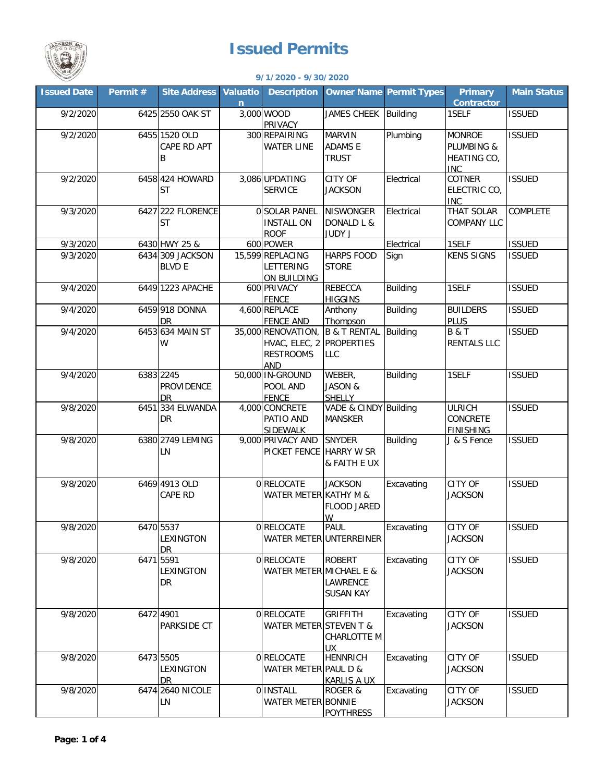

## **Issued Permits**

## **9/1/2020 - 9/30/2020**

| <b>Issued Date</b> | Permit # | <b>Site Address</b>                  | <b>Valuatio</b><br>$\mathsf{n}$ | <b>Description</b>                                             |                                                            | <b>Owner Name Permit Types</b> | <b>Primary</b><br><b>Contractor</b>                      | <b>Main Status</b> |
|--------------------|----------|--------------------------------------|---------------------------------|----------------------------------------------------------------|------------------------------------------------------------|--------------------------------|----------------------------------------------------------|--------------------|
| 9/2/2020           |          | 6425 2550 OAK ST                     |                                 | 3,000 WOOD<br>PRIVACY                                          | JAMES CHEEK Building                                       |                                | 1SELF                                                    | <b>ISSUED</b>      |
| 9/2/2020           |          | 6455 1520 OLD<br>CAPE RD APT<br>B    |                                 | 300 REPAIRING<br><b>WATER LINE</b>                             | <b>MARVIN</b><br><b>ADAMS E</b><br><b>TRUST</b>            | Plumbing                       | <b>MONROE</b><br>PLUMBING &<br>HEATING CO,<br><b>INC</b> | <b>ISSUED</b>      |
| 9/2/2020           |          | 6458 424 HOWARD<br><b>ST</b>         |                                 | 3,086 UPDATING<br><b>SERVICE</b>                               | CITY OF<br><b>JACKSON</b>                                  | Electrical                     | <b>COTNER</b><br>ELECTRIC CO,<br><b>INC</b>              | <b>ISSUED</b>      |
| 9/3/2020           |          | 6427 222 FLORENCE<br><b>ST</b>       |                                 | <b>OSOLAR PANEL</b><br><b>INSTALL ON</b><br><b>ROOF</b>        | NISWONGER<br>DONALD L &<br>JUDY J                          | Electrical                     | THAT SOLAR<br><b>COMPANY LLC</b>                         | <b>COMPLETE</b>    |
| 9/3/2020           |          | 6430 HWY 25 &                        |                                 | 600 POWER                                                      |                                                            | Electrical                     | 1SELF                                                    | <b>ISSUED</b>      |
| 9/3/2020           |          | 6434 309 JACKSON<br><b>BLVD E</b>    |                                 | 15,599 REPLACING<br><b>LETTERING</b><br>ON BUILDING            | <b>HARPS FOOD</b><br><b>STORE</b>                          | Sign                           | <b>KENS SIGNS</b>                                        | <b>ISSUED</b>      |
| 9/4/2020           |          | 6449 1223 APACHE                     |                                 | 600 PRIVACY<br><b>FENCE</b>                                    | <b>REBECCA</b><br><b>HIGGINS</b>                           | <b>Building</b>                | 1SELF                                                    | <b>ISSUED</b>      |
| 9/4/2020           |          | 6459 918 DONNA<br>DR.                |                                 | 4,600 REPLACE<br><b>FENCE AND</b>                              | Anthony<br>Thompson                                        | <b>Building</b>                | <b>BUILDERS</b><br><b>PLUS</b>                           | <b>ISSUED</b>      |
| 9/4/2020           |          | 6453 634 MAIN ST<br>W                |                                 | 35,000 RENOVATION,<br>HVAC, ELEC, 2<br><b>RESTROOMS</b><br>AND | <b>B &amp; T RENTAL</b><br><b>PROPERTIES</b><br><b>LLC</b> | <b>Building</b>                | <b>B&amp;T</b><br><b>RENTALS LLC</b>                     | <b>ISSUED</b>      |
| 9/4/2020           |          | 6383 2245<br>PROVIDENCE<br><b>DR</b> |                                 | 50,000 IN-GROUND<br>POOL AND<br><b>FENCE</b>                   | WEBER,<br><b>JASON &amp;</b><br><b>SHELLY</b>              | <b>Building</b>                | 1SELF                                                    | <b>ISSUED</b>      |
| 9/8/2020           |          | 6451 334 ELWANDA<br>DR               |                                 | 4,000 CONCRETE<br>PATIO AND<br><b>SIDEWALK</b>                 | VADE & CINDY Building<br><b>MANSKER</b>                    |                                | <b>ULRICH</b><br>CONCRETE<br><b>FINISHING</b>            | <b>ISSUED</b>      |
| 9/8/2020           |          | 6380 2749 LEMING<br>LN               |                                 | 9,000 PRIVACY AND<br><b>PICKET FENCE</b>                       | <b>SNYDER</b><br><b>HARRY W SR</b><br>& FAITH E UX         | <b>Building</b>                | J & S Fence                                              | <b>ISSUED</b>      |
| 9/8/2020           |          | 6469 4913 OLD<br>CAPE RD             |                                 | 0 RELOCATE<br>WATER METER KATHY M &                            | <b>JACKSON</b><br>FLOOD JARED<br>W                         | Excavating                     | <b>CITY OF</b><br><b>JACKSON</b>                         | <b>ISSUED</b>      |
| 9/8/2020           |          | 6470 5537<br>LEXINGTON<br>DR         |                                 | 0 RELOCATE                                                     | <b>PAUL</b><br>WATER METER UNTERREINER                     | Excavating                     | <b>CITY OF</b><br><b>JACKSON</b>                         | <b>ISSUED</b>      |
| 9/8/2020           |          | 6471 5591<br>LEXINGTON<br>DR         |                                 | 0 RELOCATE<br>WATER METER MICHAEL E &                          | <b>ROBERT</b><br>LAWRENCE<br><b>SUSAN KAY</b>              | Excavating                     | CITY OF<br><b>JACKSON</b>                                | <b>ISSUED</b>      |
| 9/8/2020           |          | 6472 4901<br>PARKSIDE CT             |                                 | 0 RELOCATE<br>WATER METER STEVEN T &                           | <b>GRIFFITH</b><br>CHARLOTTE M<br><b>UX</b>                | Excavating                     | CITY OF<br><b>JACKSON</b>                                | <b>ISSUED</b>      |
| 9/8/2020           |          | 6473 5505<br>LEXINGTON<br>DR.        |                                 | 0 RELOCATE<br>WATER METER PAUL D &                             | <b>HENNRICH</b><br><b>KARLIS A UX</b>                      | Excavating                     | CITY OF<br><b>JACKSON</b>                                | <b>ISSUED</b>      |
| 9/8/2020           |          | 6474 2640 NICOLE<br>LN               |                                 | 0 INSTALL<br><b>WATER METER BONNIE</b>                         | ROGER &<br><b>POYTHRESS</b>                                | Excavating                     | CITY OF<br><b>JACKSON</b>                                | <b>ISSUED</b>      |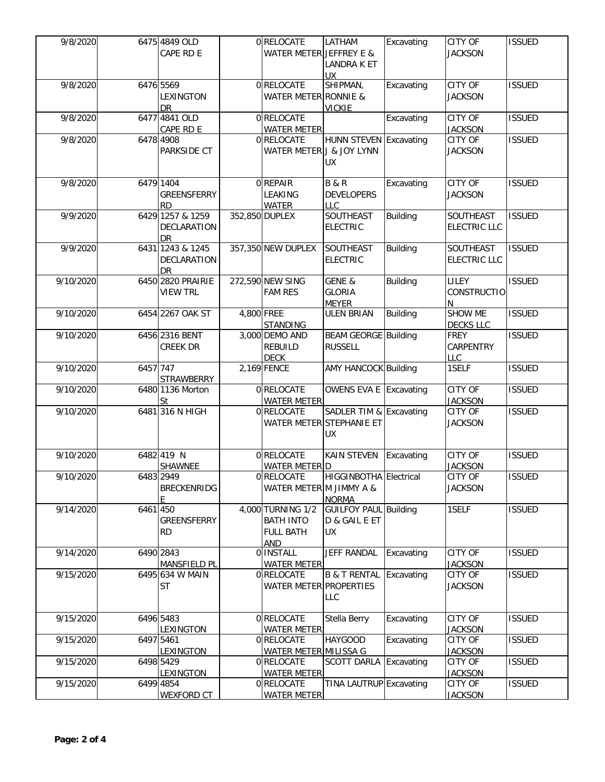| 9/8/2020  |           | 6475 4849 OLD<br>CAPE RD E                   |            | 0RELOCATE<br><b>WATER METER JEFFREY E &amp;</b>                         | LATHAM<br>LANDRA K ET                               | Excavating | CITY OF<br><b>JACKSON</b>          | <b>ISSUED</b> |
|-----------|-----------|----------------------------------------------|------------|-------------------------------------------------------------------------|-----------------------------------------------------|------------|------------------------------------|---------------|
| 9/8/2020  |           | 6476 5569<br>LEXINGTON<br>DR                 |            | 0 RELOCATE<br>WATER METER RONNIE &                                      | <b>UX</b><br>SHIPMAN,<br><b>VICKIE</b>              | Excavating | <b>CITY OF</b><br><b>JACKSON</b>   | <b>ISSUED</b> |
| 9/8/2020  |           | 6477 4841 OLD<br>CAPE RD E                   |            | 0RELOCATE<br><b>WATER METER</b>                                         |                                                     | Excavating | <b>CITY OF</b><br><b>JACKSON</b>   | <b>ISSUED</b> |
| 9/8/2020  |           | 6478 4908<br><b>PARKSIDE CT</b>              |            | 0RELOCATE<br>WATER METER J & JOY LYNN                                   | <b>HUNN STEVEN Excavating</b><br><b>UX</b>          |            | CITY OF<br><b>JACKSON</b>          | <b>ISSUED</b> |
| 9/8/2020  |           | 6479 1404<br><b>GREENSFERRY</b><br><b>RD</b> |            | 0 REPAIR<br>LEAKING<br><b>WATER</b>                                     | <b>B&amp;R</b><br><b>DEVELOPERS</b><br><b>LLC</b>   | Excavating | CITY OF<br><b>JACKSON</b>          | <b>ISSUED</b> |
| 9/9/2020  |           | 6429 1257 & 1259<br>DECLARATION<br>DR        |            | 352,850 DUPLEX                                                          | SOUTHEAST<br><b>ELECTRIC</b>                        | Building   | SOUTHEAST<br><b>ELECTRIC LLC</b>   | <b>ISSUED</b> |
| 9/9/2020  |           | 6431 1243 & 1245<br>DECLARATION<br>DR        |            | 357,350 NEW DUPLEX                                                      | SOUTHEAST<br><b>ELECTRIC</b>                        | Building   | SOUTHEAST<br><b>ELECTRIC LLC</b>   | <b>ISSUED</b> |
| 9/10/2020 |           | 6450 2820 PRAIRIE<br><b>VIEW TRL</b>         |            | 272,590 NEW SING<br><b>FAM RES</b>                                      | GENE &<br><b>GLORIA</b><br><b>MEYER</b>             | Building   | LILEY<br><b>CONSTRUCTIO</b><br>N   | <b>ISSUED</b> |
| 9/10/2020 |           | 6454 2267 OAK ST                             | 4,800 FREE | <b>STANDING</b>                                                         | <b>ULEN BRIAN</b>                                   | Building   | <b>SHOW ME</b><br><b>DECKS LLC</b> | <b>ISSUED</b> |
| 9/10/2020 |           | 6456 2316 BENT<br><b>CREEK DR</b>            |            | 3,000 DEMO AND<br><b>REBUILD</b><br><b>DECK</b>                         | <b>BEAM GEORGE</b> Building<br><b>RUSSELL</b>       |            | <b>FREY</b><br>CARPENTRY<br>LLC    | <b>ISSUED</b> |
| 9/10/2020 | 6457 747  | <b>STRAWBERRY</b>                            |            | 2,169 FENCE                                                             | AMY HANCOCK Building                                |            | 1SELF                              | <b>ISSUED</b> |
| 9/10/2020 |           | 6480 1136 Morton<br>St                       |            | 0RELOCATE<br><b>WATER METER</b>                                         | OWENS EVA E Excavating                              |            | <b>CITY OF</b><br><b>JACKSON</b>   | <b>ISSUED</b> |
| 9/10/2020 |           | 6481 316 N HIGH                              |            | 0RELOCATE<br>WATER METER STEPHANIE ET                                   | SADLER TIM & Excavating<br><b>UX</b>                |            | CITY OF<br><b>JACKSON</b>          | <b>ISSUED</b> |
| 9/10/2020 |           | 6482 419 N<br><b>SHAWNEE</b>                 |            | 0RELOCATE<br><b>WATER METER D</b>                                       | KAIN STEVEN Excavating                              |            | <b>CITY OF</b><br><b>JACKSON</b>   | <b>ISSUED</b> |
| 9/10/2020 |           | 6483 2949<br><b>BRECKENRIDG</b><br>E.        |            | 0 RELOCATE<br>WATER METER M JIMMY A &                                   | HIGGINBOTHA Electrical<br><b>NORMA</b>              |            | <b>CITY OF</b><br><b>JACKSON</b>   | <b>ISSUED</b> |
| 9/14/2020 | 6461 450  | <b>GREENSFERRY</b><br>RD.                    |            | 4,000 TURNING 1/2<br><b>BATH INTO</b><br><b>FULL BATH</b><br><b>AND</b> | <b>GUILFOY PAUL Building</b><br>D & GAIL E ET<br>UX |            | 1SELF                              | <b>ISSUED</b> |
| 9/14/2020 |           | 6490 2843<br>MANSFIELD PL                    |            | 0 INSTALL<br><b>WATER METER</b>                                         | JEFF RANDAL                                         | Excavating | <b>CITY OF</b><br><b>JACKSON</b>   | <b>ISSUED</b> |
| 9/15/2020 |           | 6495 634 W MAIN<br>ST                        |            | 0 RELOCATE<br><b>WATER METER PROPERTIES</b>                             | <b>B &amp; T RENTAL</b><br>LLC                      | Excavating | CITY OF<br><b>JACKSON</b>          | <b>ISSUED</b> |
| 9/15/2020 |           | 6496 5483<br>LEXINGTON                       |            | 0RELOCATE<br><b>WATER METER</b>                                         | Stella Berry                                        | Excavating | CITY OF<br><b>JACKSON</b>          | <b>ISSUED</b> |
| 9/15/2020 | 6497 5461 | LEXINGTON                                    |            | 0 RELOCATE<br>WATER METER MILISSA G                                     | <b>HAYGOOD</b>                                      | Excavating | CITY OF<br><b>JACKSON</b>          | <b>ISSUED</b> |
| 9/15/2020 |           | 6498 5429<br>LEXINGTON                       |            | 0 RELOCATE<br><b>WATER METER</b>                                        | SCOTT DARLA Excavating                              |            | <b>CITY OF</b><br><b>JACKSON</b>   | <b>ISSUED</b> |
| 9/15/2020 |           | 6499 4854<br><b>WEXFORD CT</b>               |            | 0 RELOCATE<br><b>WATER METER</b>                                        | <b>TINA LAUTRUP Excavating</b>                      |            | CITY OF<br><b>JACKSON</b>          | <b>ISSUED</b> |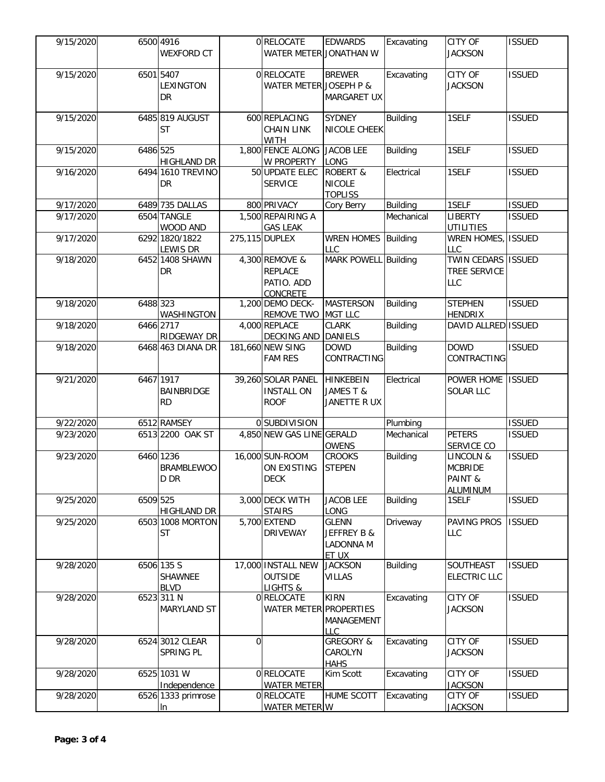| 9/15/2020 |          | 6500 4916                               |          | 0RELOCATE                           | <b>EDWARDS</b>                     | Excavating      | <b>CITY OF</b>                         | <b>ISSUED</b> |
|-----------|----------|-----------------------------------------|----------|-------------------------------------|------------------------------------|-----------------|----------------------------------------|---------------|
|           |          | <b>WEXFORD CT</b>                       |          | WATER METER JONATHAN W              |                                    |                 | <b>JACKSON</b>                         |               |
| 9/15/2020 |          | 6501 5407                               |          | 0 RELOCATE                          | <b>BREWER</b>                      | Excavating      | <b>CITY OF</b>                         | <b>ISSUED</b> |
|           |          | <b>LEXINGTON</b>                        |          | WATER METER JOSEPH P &              |                                    |                 | <b>JACKSON</b>                         |               |
|           |          | DR                                      |          |                                     | <b>MARGARET UX</b>                 |                 |                                        |               |
| 9/15/2020 |          | 6485 819 AUGUST                         |          | 600 REPLACING                       | SYDNEY                             | Building        | 1SELF                                  | <b>ISSUED</b> |
|           |          | <b>ST</b>                               |          | <b>CHAIN LINK</b>                   | NICOLE CHEEK                       |                 |                                        |               |
|           |          |                                         |          | <b>WITH</b>                         |                                    |                 |                                        |               |
| 9/15/2020 | 6486 525 |                                         |          | 1,800 FENCE ALONG                   | <b>JACOB LEE</b>                   | Building        | 1SELF                                  | <b>ISSUED</b> |
| 9/16/2020 |          | <b>HIGHLAND DR</b><br>6494 1610 TREVINO |          | W PROPERTY<br>50 UPDATE ELEC        | <b>LONG</b><br><b>ROBERT &amp;</b> | Electrical      | 1SELF                                  | <b>ISSUED</b> |
|           |          | DR                                      |          | <b>SERVICE</b>                      | <b>NICOLE</b>                      |                 |                                        |               |
|           |          |                                         |          |                                     | <b>TOPLISS</b>                     |                 |                                        |               |
| 9/17/2020 |          | 6489 735 DALLAS                         |          | 800 PRIVACY                         | Cory Berry                         | <b>Building</b> | 1SELF                                  | <b>ISSUED</b> |
| 9/17/2020 |          | 6504 TANGLE                             |          | 1,500 REPAIRING A                   |                                    | Mechanical      | <b>LIBERTY</b>                         | <b>ISSUED</b> |
| 9/17/2020 |          | WOOD AND<br>6292 1820/1822              |          | <b>GAS LEAK</b><br>275,115 DUPLEX   | WREN HOMES Building                |                 | <b>UTILITIES</b><br>WREN HOMES, ISSUED |               |
|           |          | LEWIS DR                                |          |                                     | LLC                                |                 | LLC                                    |               |
| 9/18/2020 |          | 6452 1408 SHAWN                         |          | 4,300 REMOVE &                      | MARK POWELL Building               |                 | TWIN CEDARS ISSUED                     |               |
|           |          | DR                                      |          | <b>REPLACE</b>                      |                                    |                 | TREE SERVICE                           |               |
|           |          |                                         |          | PATIO. ADD                          |                                    |                 | LLC                                    |               |
| 9/18/2020 | 6488 323 |                                         |          | <b>CONCRETE</b><br>1,200 DEMO DECK- | <b>MASTERSON</b>                   | Building        | <b>STEPHEN</b>                         | <b>ISSUED</b> |
|           |          | WASHINGTON                              |          | REMOVE TWO                          | <b>MGT LLC</b>                     |                 | <b>HENDRIX</b>                         |               |
| 9/18/2020 |          | 6466 2717                               |          | 4,000 REPLACE                       | <b>CLARK</b>                       | <b>Building</b> | DAVID ALLRED ISSUED                    |               |
|           |          | RIDGEWAY DR                             |          | <b>DECKING AND</b>                  | <b>DANIELS</b>                     |                 |                                        |               |
| 9/18/2020 |          | 6468 463 DIANA DR                       |          | 181,660 NEW SING<br><b>FAM RES</b>  | <b>DOWD</b><br>CONTRACTING         | Building        | <b>DOWD</b><br>CONTRACTING             | <b>ISSUED</b> |
|           |          |                                         |          |                                     |                                    |                 |                                        |               |
| 9/21/2020 |          | 6467 1917                               |          | 39,260 SOLAR PANEL                  | <b>HINKEBEIN</b>                   | Electrical      | POWER HOME                             | <b>ISSUED</b> |
|           |          | <b>BAINBRIDGE</b>                       |          | <b>INSTALL ON</b>                   | JAMES T &                          |                 | <b>SOLAR LLC</b>                       |               |
|           |          | <b>RD</b>                               |          | <b>ROOF</b>                         | JANETTE R UX                       |                 |                                        |               |
| 9/22/2020 |          | 6512 RAMSEY                             |          | 0 SUBDIVISION                       |                                    | Plumbing        |                                        | <b>ISSUED</b> |
| 9/23/2020 |          | 6513 2200 OAK ST                        |          | 4,850 NEW GAS LINE GERALD           |                                    | Mechanical      | <b>PETERS</b>                          | <b>ISSUED</b> |
|           |          |                                         |          |                                     | <b>OWENS</b>                       |                 | SERVICE CO                             |               |
| 9/23/2020 |          | 6460 1236                               |          | 16,000 SUN-ROOM                     | <b>CROOKS</b>                      | <b>Building</b> | <b>LINCOLN &amp;</b>                   | <b>ISSUED</b> |
|           |          | <b>BRAMBLEWOO</b><br>D DR               |          | ON EXISTING<br><b>DECK</b>          | <b>STEPEN</b>                      |                 | <b>MCBRIDE</b><br>PAINT &              |               |
|           |          |                                         |          |                                     |                                    |                 | <b>ALUMINUM</b>                        |               |
| 9/25/2020 | 6509 525 |                                         |          | 3,000 DECK WITH                     | <b>JACOB LEE</b>                   | Building        | 1SELF                                  | <b>ISSUED</b> |
|           |          | <b>HIGHLAND DR</b>                      |          | <b>STAIRS</b>                       | LONG                               |                 |                                        |               |
| 9/25/2020 |          | 6503 1008 MORTON<br>ST                  |          | 5,700 EXTEND<br><b>DRIVEWAY</b>     | <b>GLENN</b><br>JEFFREY B &        | Driveway        | PAVING PROS<br><b>LLC</b>              | <b>ISSUED</b> |
|           |          |                                         |          |                                     | LADONNA M                          |                 |                                        |               |
|           |          |                                         |          |                                     | ET UX                              |                 |                                        |               |
| 9/28/2020 |          | 6506 135 S                              |          | 17,000 INSTALL NEW                  | <b>JACKSON</b>                     | Building        | SOUTHEAST                              | <b>ISSUED</b> |
|           |          | SHAWNEE                                 |          | <b>OUTSIDE</b>                      | <b>VILLAS</b>                      |                 | <b>ELECTRIC LLC</b>                    |               |
| 9/28/2020 |          | <b>BLVD</b><br>6523 311 N               |          | LIGHTS &<br>0 RELOCATE              | <b>KIRN</b>                        | Excavating      | CITY OF                                | <b>ISSUED</b> |
|           |          | <b>MARYLAND ST</b>                      |          | <b>WATER METER PROPERTIES</b>       |                                    |                 | <b>JACKSON</b>                         |               |
|           |          |                                         |          |                                     | MANAGEMENT                         |                 |                                        |               |
|           |          |                                         |          |                                     | <b>LLC</b>                         |                 |                                        |               |
| 9/28/2020 |          | 6524 3012 CLEAR                         | $\Omega$ |                                     | <b>GREGORY &amp;</b>               | Excavating      | CITY OF                                | <b>ISSUED</b> |
|           |          | SPRING PL                               |          |                                     | CAROLYN<br><b>HAHS</b>             |                 | <b>JACKSON</b>                         |               |
| 9/28/2020 |          | 6525 1031 W                             |          | 0RELOCATE                           | Kim Scott                          | Excavating      | <b>CITY OF</b>                         | <b>ISSUED</b> |
|           |          |                                         |          |                                     |                                    |                 |                                        |               |
|           |          | Independence                            |          | <b>WATER METER</b>                  |                                    |                 | <b>JACKSON</b>                         |               |
| 9/28/2020 |          | 6526 1333 primrose<br>In.               |          | 0RELOCATE<br>WATER METER W          | HUME SCOTT                         | Excavating      | CITY OF<br><b>JACKSON</b>              | <b>ISSUED</b> |